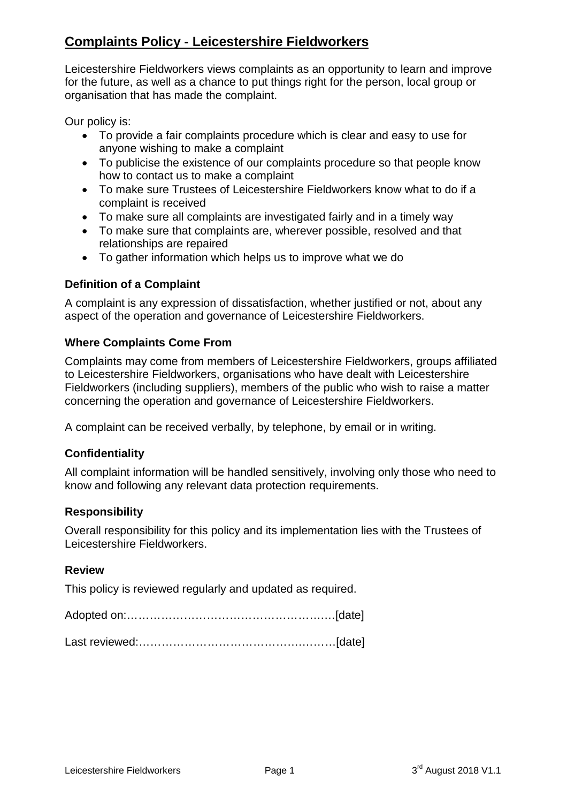# **Complaints Policy - Leicestershire Fieldworkers**

Leicestershire Fieldworkers views complaints as an opportunity to learn and improve for the future, as well as a chance to put things right for the person, local group or organisation that has made the complaint.

Our policy is:

- To provide a fair complaints procedure which is clear and easy to use for anyone wishing to make a complaint
- To publicise the existence of our complaints procedure so that people know how to contact us to make a complaint
- To make sure Trustees of Leicestershire Fieldworkers know what to do if a complaint is received
- To make sure all complaints are investigated fairly and in a timely way
- To make sure that complaints are, wherever possible, resolved and that relationships are repaired
- To gather information which helps us to improve what we do

### **Definition of a Complaint**

A complaint is any expression of dissatisfaction, whether justified or not, about any aspect of the operation and governance of Leicestershire Fieldworkers.

### **Where Complaints Come From**

Complaints may come from members of Leicestershire Fieldworkers, groups affiliated to Leicestershire Fieldworkers, organisations who have dealt with Leicestershire Fieldworkers (including suppliers), members of the public who wish to raise a matter concerning the operation and governance of Leicestershire Fieldworkers.

A complaint can be received verbally, by telephone, by email or in writing.

#### **Confidentiality**

All complaint information will be handled sensitively, involving only those who need to know and following any relevant data protection requirements.

#### **Responsibility**

Overall responsibility for this policy and its implementation lies with the Trustees of Leicestershire Fieldworkers.

#### **Review**

This policy is reviewed regularly and updated as required.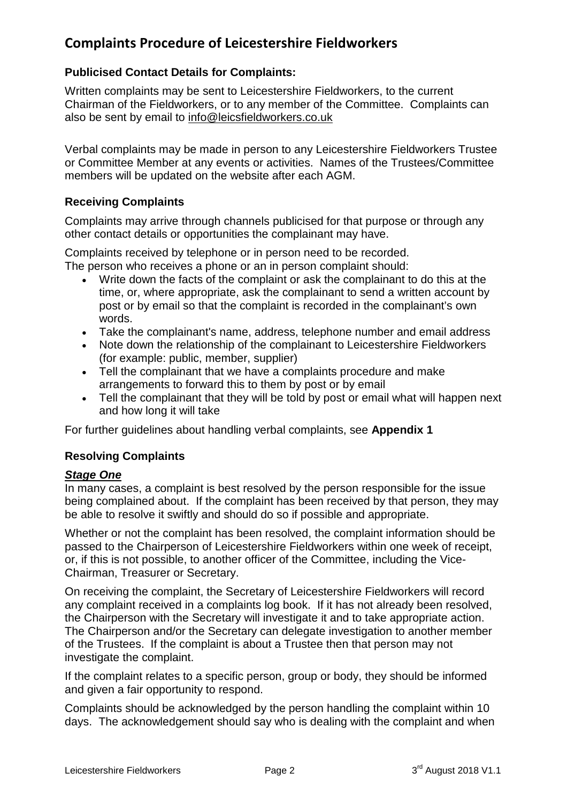# **Complaints Procedure of Leicestershire Fieldworkers**

## **Publicised Contact Details for Complaints:**

Written complaints may be sent to Leicestershire Fieldworkers, to the current Chairman of the Fieldworkers, or to any member of the Committee. Complaints can also be sent by email to [info@leicsfieldworkers.co.uk](mailto:info@leicsfieldworkers.co.uk)

Verbal complaints may be made in person to any Leicestershire Fieldworkers Trustee or Committee Member at any events or activities. Names of the Trustees/Committee members will be updated on the website after each AGM.

### **Receiving Complaints**

Complaints may arrive through channels publicised for that purpose or through any other contact details or opportunities the complainant may have.

Complaints received by telephone or in person need to be recorded.

The person who receives a phone or an in person complaint should:

- Write down the facts of the complaint or ask the complainant to do this at the time, or, where appropriate, ask the complainant to send a written account by post or by email so that the complaint is recorded in the complainant's own words.
- Take the complainant's name, address, telephone number and email address
- Note down the relationship of the complainant to Leicestershire Fieldworkers (for example: public, member, supplier)
- Tell the complainant that we have a complaints procedure and make arrangements to forward this to them by post or by email
- Tell the complainant that they will be told by post or email what will happen next and how long it will take

For further guidelines about handling verbal complaints, see **Appendix 1**

## **Resolving Complaints**

## *Stage One*

In many cases, a complaint is best resolved by the person responsible for the issue being complained about. If the complaint has been received by that person, they may be able to resolve it swiftly and should do so if possible and appropriate.

Whether or not the complaint has been resolved, the complaint information should be passed to the Chairperson of Leicestershire Fieldworkers within one week of receipt, or, if this is not possible, to another officer of the Committee, including the Vice-Chairman, Treasurer or Secretary.

On receiving the complaint, the Secretary of Leicestershire Fieldworkers will record any complaint received in a complaints log book. If it has not already been resolved, the Chairperson with the Secretary will investigate it and to take appropriate action. The Chairperson and/or the Secretary can delegate investigation to another member of the Trustees. If the complaint is about a Trustee then that person may not investigate the complaint.

If the complaint relates to a specific person, group or body, they should be informed and given a fair opportunity to respond.

Complaints should be acknowledged by the person handling the complaint within 10 days. The acknowledgement should say who is dealing with the complaint and when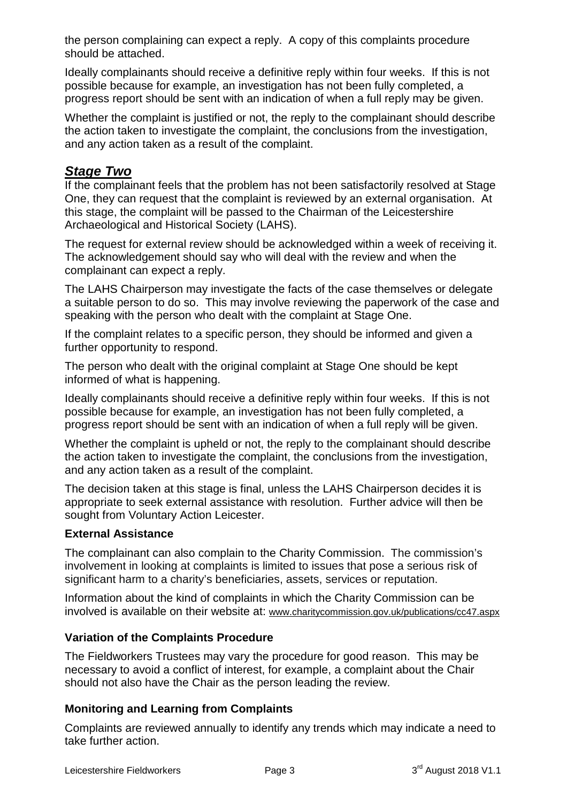the person complaining can expect a reply. A copy of this complaints procedure should be attached.

Ideally complainants should receive a definitive reply within four weeks. If this is not possible because for example, an investigation has not been fully completed, a progress report should be sent with an indication of when a full reply may be given.

Whether the complaint is justified or not, the reply to the complainant should describe the action taken to investigate the complaint, the conclusions from the investigation, and any action taken as a result of the complaint.

## *Stage Two*

If the complainant feels that the problem has not been satisfactorily resolved at Stage One, they can request that the complaint is reviewed by an external organisation. At this stage, the complaint will be passed to the Chairman of the Leicestershire Archaeological and Historical Society (LAHS).

The request for external review should be acknowledged within a week of receiving it. The acknowledgement should say who will deal with the review and when the complainant can expect a reply.

The LAHS Chairperson may investigate the facts of the case themselves or delegate a suitable person to do so. This may involve reviewing the paperwork of the case and speaking with the person who dealt with the complaint at Stage One.

If the complaint relates to a specific person, they should be informed and given a further opportunity to respond.

The person who dealt with the original complaint at Stage One should be kept informed of what is happening.

Ideally complainants should receive a definitive reply within four weeks. If this is not possible because for example, an investigation has not been fully completed, a progress report should be sent with an indication of when a full reply will be given.

Whether the complaint is upheld or not, the reply to the complainant should describe the action taken to investigate the complaint, the conclusions from the investigation, and any action taken as a result of the complaint.

The decision taken at this stage is final, unless the LAHS Chairperson decides it is appropriate to seek external assistance with resolution. Further advice will then be sought from Voluntary Action Leicester.

## **External Assistance**

The complainant can also complain to the Charity Commission. The commission's involvement in looking at complaints is limited to issues that pose a serious risk of significant harm to a charity's beneficiaries, assets, services or reputation.

Information about the kind of complaints in which the Charity Commission can be involved is available on their website at: [www.charitycommission.gov.uk/publications/cc47.aspx](http://www.charitycommission.gov.uk/publications/cc47.aspx)

## **Variation of the Complaints Procedure**

The Fieldworkers Trustees may vary the procedure for good reason. This may be necessary to avoid a conflict of interest, for example, a complaint about the Chair should not also have the Chair as the person leading the review.

## **Monitoring and Learning from Complaints**

Complaints are reviewed annually to identify any trends which may indicate a need to take further action.